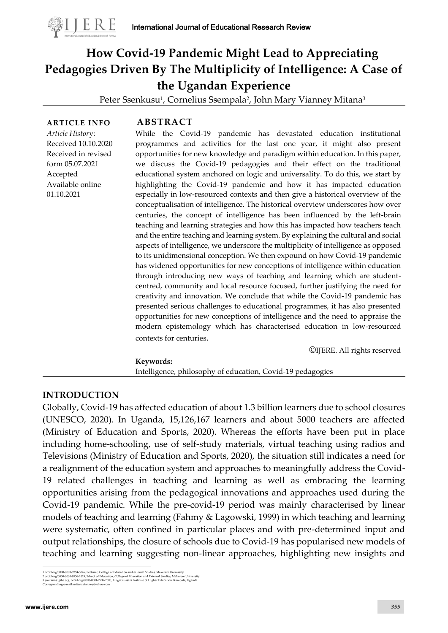

# **How Covid-19 Pandemic Might Lead to Appreciating Pedagogies Driven By The Multiplicity of Intelligence: A Case of the Ugandan Experience**

Peter Ssenkusu<sup>1</sup>, Cornelius Ssempala<sup>2</sup>, John Mary Vianney Mitana<sup>3</sup>

*Article Histor*y: Received 10.10.2020 Received in revised form 05.07.2021 Accepted Available online 01.10.2021

#### **ARTICLE INFO ABSTRACT**

While the Covid-19 pandemic has devastated education institutional programmes and activities for the last one year, it might also present opportunities for new knowledge and paradigm within education. In this paper, we discuss the Covid-19 pedagogies and their effect on the traditional educational system anchored on logic and universality. To do this, we start by highlighting the Covid-19 pandemic and how it has impacted education especially in low-resourced contexts and then give a historical overview of the conceptualisation of intelligence. The historical overview underscores how over centuries, the concept of intelligence has been influenced by the left-brain teaching and learning strategies and how this has impacted how teachers teach and the entire teaching and learning system. By explaining the cultural and social aspects of intelligence, we underscore the multiplicity of intelligence as opposed to its unidimensional conception. We then expound on how Covid-19 pandemic has widened opportunities for new conceptions of intelligence within education through introducing new ways of teaching and learning which are studentcentred, community and local resource focused, further justifying the need for creativity and innovation. We conclude that while the Covid-19 pandemic has presented serious challenges to educational programmes, it has also presented opportunities for new conceptions of intelligence and the need to appraise the modern epistemology which has characterised education in low-resourced contexts for centuries.

©IJERE. All rights reserved

#### **Keywords:<sup>1</sup>**

Intelligence, philosophy of education, Covid-19 pedagogies

#### **INTRODUCTION**

Globally, Covid-19 has affected education of about 1.3 billion learners due to school closures (UNESCO, 2020). In Uganda, 15,126,167 learners and about 5000 teachers are affected (Ministry of Education and Sports, 2020). Whereas the efforts have been put in place including home-schooling, use of self-study materials, virtual teaching using radios and Televisions (Ministry of Education and Sports, 2020), the situation still indicates a need for a realignment of the education system and approaches to meaningfully address the Covid-19 related challenges in teaching and learning as well as embracing the learning opportunities arising from the pedagogical innovations and approaches used during the Covid-19 pandemic. While the pre-covid-19 period was mainly characterised by linear models of teaching and learning (Fahmy & Lagowski, 1999) in which teaching and learning were systematic, often confined in particular places and with pre-determined input and output relationships, the closure of schools due to Covid-19 has popularised new models of teaching and learning suggesting non-linear approaches, highlighting new insights and

<sup>1</sup> ordd.org/0000-0001-9294-7346, Lecturer, College of Education and external Studies, Makerere University<br>2 orcid.org/0000-0001-8936-1029, School of Education, College of Education and External Studies, Makerere University<br>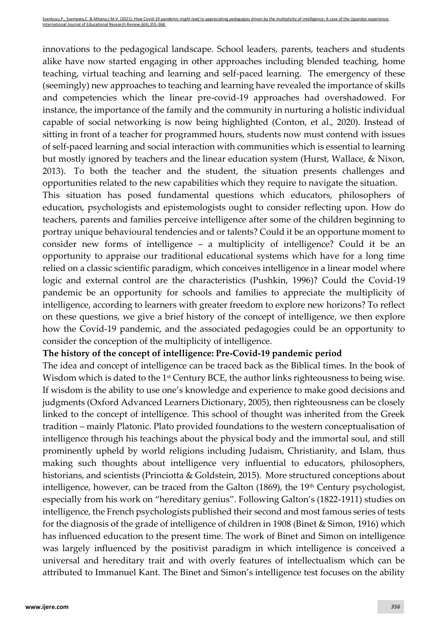innovations to the pedagogical landscape. School leaders, parents, teachers and students alike have now started engaging in other approaches including blended teaching, home teaching, virtual teaching and learning and self-paced learning. The emergency of these (seemingly) new approaches to teaching and learning have revealed the importance of skills and competencies which the linear pre-covid-19 approaches had overshadowed. For instance, the importance of the family and the community in nurturing a holistic individual capable of social networking is now being highlighted (Conton, et al., 2020). Instead of sitting in front of a teacher for programmed hours, students now must contend with issues of self-paced learning and social interaction with communities which is essential to learning but mostly ignored by teachers and the linear education system (Hurst, Wallace, & Nixon, 2013). To both the teacher and the student, the situation presents challenges and opportunities related to the new capabilities which they require to navigate the situation.

This situation has posed fundamental questions which educators, philosophers of education, psychologists and epistemologists ought to consider reflecting upon. How do teachers, parents and families perceive intelligence after some of the children beginning to portray unique behavioural tendencies and or talents? Could it be an opportune moment to consider new forms of intelligence – a multiplicity of intelligence? Could it be an opportunity to appraise our traditional educational systems which have for a long time relied on a classic scientific paradigm, which conceives intelligence in a linear model where logic and external control are the characteristics (Pushkin, 1996)? Could the Covid-19 pandemic be an opportunity for schools and families to appreciate the multiplicity of intelligence, according to learners with greater freedom to explore new horizons? To reflect on these questions, we give a brief history of the concept of intelligence, we then explore how the Covid-19 pandemic, and the associated pedagogies could be an opportunity to consider the conception of the multiplicity of intelligence.

# **The history of the concept of intelligence: Pre-Covid-19 pandemic period**

The idea and concept of intelligence can be traced back as the Biblical times. In the book of Wisdom which is dated to the 1<sup>st</sup> Century BCE, the author links righteousness to being wise. If wisdom is the [ability](https://dictionary.cambridge.org/dictionary/english/ability) to use one's [knowledge](https://dictionary.cambridge.org/dictionary/english/knowledge) and [experience](https://dictionary.cambridge.org/dictionary/english/experience) to make good [decisions](https://dictionary.cambridge.org/dictionary/english/decision) and [judgments](https://dictionary.cambridge.org/dictionary/english/judgment) (Oxford Advanced Learners Dictionary, 2005), then righteousness can be closely linked to the concept of intelligence. This school of thought was inherited from the Greek tradition – mainly Platonic. Plato provided foundations to the western conceptualisation of intelligence through his teachings about the physical body and the immortal soul, and still prominently upheld by world religions including Judaism, Christianity, and Islam, thus making such thoughts about intelligence very influential to educators, philosophers, historians, and scientists (Princiotta & Goldstein, 2015). More structured conceptions about intelligence, however, can be traced from the Galton  $(1869)$ , the  $19<sup>th</sup>$  Century psychologist, especially from his work on "hereditary genius". Following Galton's (1822-1911) studies on intelligence, the French psychologists published their second and most famous series of tests for the diagnosis of the grade of intelligence of children in 1908 (Binet & Simon, 1916) which has influenced education to the present time. The work of Binet and Simon on intelligence was largely influenced by the positivist paradigm in which intelligence is conceived a universal and hereditary trait and with overly features of intellectualism which can be attributed to Immanuel Kant. The Binet and Simon's intelligence test focuses on the ability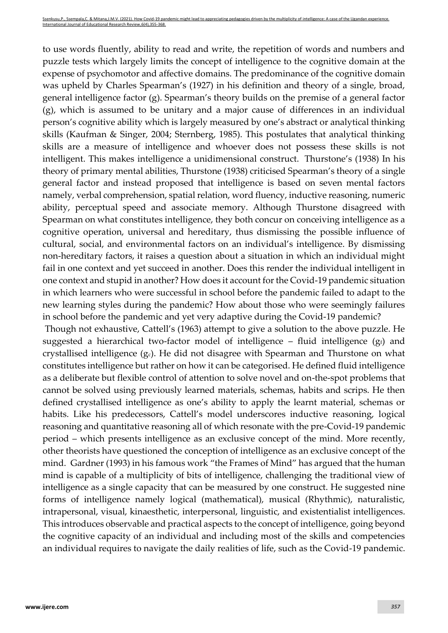to use words fluently, ability to read and write, the repetition of words and numbers and puzzle tests which largely limits the concept of intelligence to the cognitive domain at the expense of psychomotor and affective domains. The predominance of the cognitive domain was upheld by Charles Spearman's (1927) in his definition and theory of a single, broad, general intelligence factor (g). Spearman's theory builds on the premise of a general factor (g), which is assumed to be unitary and a major cause of differences in an individual person's cognitive ability which is largely measured by one's abstract or analytical thinking skills (Kaufman & Singer, 2004; Sternberg, 1985). This postulates that analytical thinking skills are a measure of intelligence and whoever does not possess these skills is not intelligent. This makes intelligence a unidimensional construct. Thurstone's (1938) In his theory of primary mental abilities, Thurstone (1938) criticised Spearman's theory of a single general factor and instead proposed that intelligence is based on seven mental factors namely, verbal comprehension, spatial relation, word fluency, inductive reasoning, numeric ability, perceptual speed and associate memory. Although Thurstone disagreed with Spearman on what constitutes intelligence, they both concur on conceiving intelligence as a cognitive operation, universal and hereditary, thus dismissing the possible influence of cultural, social, and environmental factors on an individual's intelligence. By dismissing non-hereditary factors, it raises a question about a situation in which an individual might fail in one context and yet succeed in another. Does this render the individual intelligent in one context and stupid in another? How does it account for the Covid-19 pandemic situation in which learners who were successful in school before the pandemic failed to adapt to the new learning styles during the pandemic? How about those who were seemingly failures in school before the pandemic and yet very adaptive during the Covid-19 pandemic?

Though not exhaustive, Cattell's (1963) attempt to give a solution to the above puzzle. He suggested a hierarchical two-factor model of intelligence – fluid intelligence  $(g_f)$  and crystallised intelligence  $(g_c)$ . He did not disagree with Spearman and Thurstone on what constitutes intelligence but rather on how it can be categorised. He defined fluid intelligence as a deliberate but flexible control of attention to solve novel and on-the-spot problems that cannot be solved using previously learned materials, schemas, habits and scrips. He then defined crystallised intelligence as one's ability to apply the learnt material, schemas or habits. Like his predecessors, Cattell's model underscores inductive reasoning, logical reasoning and quantitative reasoning all of which resonate with the pre-Covid-19 pandemic period – which presents intelligence as an exclusive concept of the mind. More recently, other theorists have questioned the conception of intelligence as an exclusive concept of the mind. Gardner (1993) in his famous work "the Frames of Mind" has argued that the human mind is capable of a multiplicity of bits of intelligence, challenging the traditional view of intelligence as a single capacity that can be measured by one construct. He suggested nine forms of intelligence namely logical (mathematical), musical (Rhythmic), naturalistic, intrapersonal, visual, kinaesthetic, interpersonal, linguistic, and existentialist intelligences. This introduces observable and practical aspects to the concept of intelligence, going beyond the cognitive capacity of an individual and including most of the skills and competencies an individual requires to navigate the daily realities of life, such as the Covid-19 pandemic.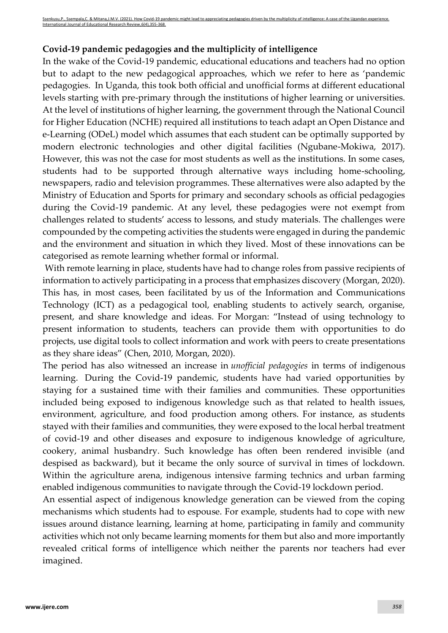# **Covid-19 pandemic pedagogies and the multiplicity of intelligence**

In the wake of the Covid-19 pandemic, educational educations and teachers had no option but to adapt to the new pedagogical approaches, which we refer to here as 'pandemic pedagogies. In Uganda, this took both official and unofficial forms at different educational levels starting with pre-primary through the institutions of higher learning or universities. At the level of institutions of higher learning, the government through the National Council for Higher Education (NCHE) required all institutions to teach adapt an Open Distance and e-Learning (ODeL) model which assumes that each student can be optimally supported by modern electronic technologies and other digital facilities (Ngubane-Mokiwa, 2017). However, this was not the case for most students as well as the institutions. In some cases, students had to be supported through alternative ways including home-schooling, newspapers, radio and television programmes. These alternatives were also adapted by the Ministry of Education and Sports for primary and secondary schools as official pedagogies during the Covid-19 pandemic. At any level, these pedagogies were not exempt from challenges related to students' access to lessons, and study materials. The challenges were compounded by the competing activities the students were engaged in during the pandemic and the environment and situation in which they lived. Most of these innovations can be categorised as remote learning whether formal or informal.

With remote learning in place, students have had to change roles from passive recipients of information to actively participating in a process that emphasizes discovery (Morgan, 2020). This has, in most cases, been facilitated by us of the Information and Communications Technology (ICT) as a pedagogical tool, enabling students to actively search, organise, present, and share knowledge and ideas. For Morgan: "Instead of using technology to present information to students, teachers can provide them with opportunities to do projects, use digital tools to collect information and work with peers to create presentations as they share ideas" (Chen, 2010, Morgan, 2020).

The period has also witnessed an increase in *unofficial pedagogies* in terms of indigenous learning. During the Covid-19 pandemic, students have had varied opportunities by staying for a sustained time with their families and communities. These opportunities included being exposed to indigenous knowledge such as that related to health issues, environment, agriculture, and food production among others. For instance, as students stayed with their families and communities, they were exposed to the local herbal treatment of covid-19 and other diseases and exposure to indigenous knowledge of agriculture, cookery, animal husbandry. Such knowledge has often been rendered invisible (and despised as backward), but it became the only source of survival in times of lockdown. Within the agriculture arena, indigenous intensive farming technics and urban farming enabled indigenous communities to navigate through the Covid-19 lockdown period.

An essential aspect of indigenous knowledge generation can be viewed from the coping mechanisms which students had to espouse. For example, students had to cope with new issues around distance learning, learning at home, participating in family and community activities which not only became learning moments for them but also and more importantly revealed critical forms of intelligence which neither the parents nor teachers had ever imagined.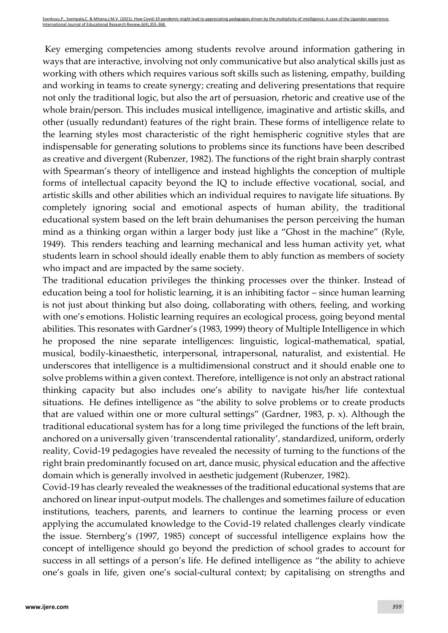Key emerging competencies among students revolve around information gathering in ways that are interactive, involving not only communicative but also analytical skills just as working with others which requires various soft skills such as listening, empathy, building and working in teams to create synergy; creating and delivering presentations that require not only the traditional logic, but also the art of persuasion, rhetoric and creative use of the whole brain/person. This includes musical intelligence, imaginative and artistic skills, and other (usually redundant) features of the right brain. These forms of intelligence relate to the learning styles most characteristic of the right hemispheric cognitive styles that are indispensable for generating solutions to problems since its functions have been described as creative and divergent (Rubenzer, 1982). The functions of the right brain sharply contrast with Spearman's theory of intelligence and instead highlights the conception of multiple forms of intellectual capacity beyond the IQ to include effective vocational, social, and artistic skills and other abilities which an individual requires to navigate life situations. By completely ignoring social and emotional aspects of human ability, the traditional educational system based on the left brain dehumanises the person perceiving the human mind as a thinking organ within a larger body just like a "Ghost in the machine" (Ryle, 1949). This renders teaching and learning mechanical and less human activity yet, what students learn in school should ideally enable them to ably function as members of society who impact and are impacted by the same society.

The traditional education privileges the thinking processes over the thinker. Instead of education being a tool for holistic learning, it is an inhibiting factor – since human learning is not just about thinking but also doing, collaborating with others, feeling, and working with one's emotions. Holistic learning requires an ecological process, going beyond mental abilities. This resonates with Gardner's (1983, 1999) theory of Multiple Intelligence in which he proposed the nine separate intelligences: linguistic, logical-mathematical, spatial, musical, bodily-kinaesthetic, interpersonal, intrapersonal, naturalist, and existential. He underscores that intelligence is a multidimensional construct and it should enable one to solve problems within a given context. Therefore, intelligence is not only an abstract rational thinking capacity but also includes one's ability to navigate his/her life contextual situations. He defines intelligence as "the ability to solve problems or to create products that are valued within one or more cultural settings" (Gardner, 1983, p. x). Although the traditional educational system has for a long time privileged the functions of the left brain, anchored on a universally given 'transcendental rationality', standardized, uniform, orderly reality, Covid-19 pedagogies have revealed the necessity of turning to the functions of the right brain predominantly focused on art, dance music, physical education and the affective domain which is generally involved in aesthetic judgement (Rubenzer, 1982).

Covid-19 has clearly revealed the weaknesses of the traditional educational systems that are anchored on linear input-output models. The challenges and sometimes failure of education institutions, teachers, parents, and learners to continue the learning process or even applying the accumulated knowledge to the Covid-19 related challenges clearly vindicate the issue. Sternberg's (1997, 1985) concept of successful intelligence explains how the concept of intelligence should go beyond the prediction of school grades to account for success in all settings of a person's life. He defined intelligence as "the ability to achieve one's goals in life, given one's social-cultural context; by capitalising on strengths and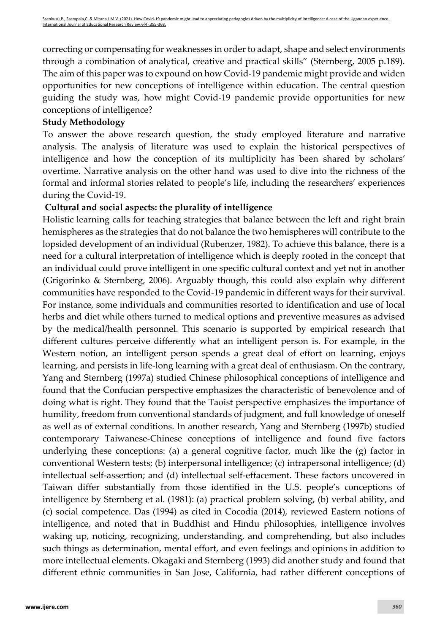correcting or compensating for weaknesses in order to adapt, shape and select environments through a combination of analytical, creative and practical skills" (Sternberg, 2005 p.189). The aim of this paper was to expound on how Covid-19 pandemic might provide and widen opportunities for new conceptions of intelligence within education. The central question guiding the study was, how might Covid-19 pandemic provide opportunities for new conceptions of intelligence?

# **Study Methodology**

To answer the above research question, the study employed literature and narrative analysis. The analysis of literature was used to explain the historical perspectives of intelligence and how the conception of its multiplicity has been shared by scholars' overtime. Narrative analysis on the other hand was used to dive into the richness of the formal and informal stories related to people's life, including the researchers' experiences during the Covid-19.

#### **Cultural and social aspects: the plurality of intelligence**

Holistic learning calls for teaching strategies that balance between the left and right brain hemispheres as the strategies that do not balance the two hemispheres will contribute to the lopsided development of an individual (Rubenzer, 1982). To achieve this balance, there is a need for a cultural interpretation of intelligence which is deeply rooted in the concept that an individual could prove intelligent in one specific cultural context and yet not in another (Grigorinko & Sternberg, 2006). Arguably though, this could also explain why different communities have responded to the Covid-19 pandemic in different ways for their survival. For instance, some individuals and communities resorted to identification and use of local herbs and diet while others turned to medical options and preventive measures as advised by the medical/health personnel. This scenario is supported by empirical research that different cultures perceive differently what an intelligent person is. For example, in the Western notion, an intelligent person spends a great deal of effort on learning, enjoys learning, and persists in life-long learning with a great deal of enthusiasm. On the contrary, Yang and Sternberg (1997a) studied Chinese philosophical conceptions of intelligence and found that the Confucian perspective emphasizes the characteristic of benevolence and of doing what is right. They found that the Taoist perspective emphasizes the importance of humility, freedom from conventional standards of judgment, and full knowledge of oneself as well as of external conditions. In another research, Yang and Sternberg (1997b) studied contemporary Taiwanese-Chinese conceptions of intelligence and found five factors underlying these conceptions: (a) a general cognitive factor, much like the (g) factor in conventional Western tests; (b) interpersonal intelligence; (c) intrapersonal intelligence; (d) intellectual self-assertion; and (d) intellectual self-effacement. These factors uncovered in Taiwan differ substantially from those identified in the U.S. people's conceptions of intelligence by Sternberg et al. (1981): (a) practical problem solving, (b) verbal ability, and (c) social competence. Das (1994) as cited in Cocodia (2014), reviewed Eastern notions of intelligence, and noted that in Buddhist and Hindu philosophies, intelligence involves waking up, noticing, recognizing, understanding, and comprehending, but also includes such things as determination, mental effort, and even feelings and opinions in addition to more intellectual elements. Okagaki and Sternberg (1993) did another study and found that different ethnic communities in San Jose, California, had rather different conceptions of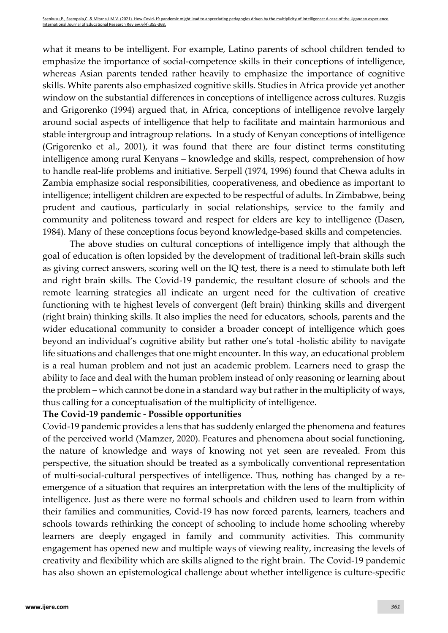what it means to be intelligent. For example, Latino parents of school children tended to emphasize the importance of social-competence skills in their conceptions of intelligence, whereas Asian parents tended rather heavily to emphasize the importance of cognitive skills. White parents also emphasized cognitive skills. Studies in Africa provide yet another window on the substantial differences in conceptions of intelligence across cultures. Ruzgis and Grigorenko (1994) argued that, in Africa, conceptions of intelligence revolve largely around social aspects of intelligence that help to facilitate and maintain harmonious and stable intergroup and intragroup relations. In a study of Kenyan conceptions of intelligence (Grigorenko et al., 2001), it was found that there are four distinct terms constituting intelligence among rural Kenyans – knowledge and skills, respect, comprehension of how to handle real-life problems and initiative. Serpell (1974, 1996) found that Chewa adults in Zambia emphasize social responsibilities, cooperativeness, and obedience as important to intelligence; intelligent children are expected to be respectful of adults. In Zimbabwe, being prudent and cautious, particularly in social relationships, service to the family and community and politeness toward and respect for elders are key to intelligence (Dasen, 1984). Many of these conceptions focus beyond knowledge-based skills and competencies.

The above studies on cultural conceptions of intelligence imply that although the goal of education is often lopsided by the development of traditional left-brain skills such as giving correct answers, scoring well on the IQ test, there is a need to stimulate both left and right brain skills. The Covid-19 pandemic, the resultant closure of schools and the remote learning strategies all indicate an urgent need for the cultivation of creative functioning with te highest levels of convergent (left brain) thinking skills and divergent (right brain) thinking skills. It also implies the need for educators, schools, parents and the wider educational community to consider a broader concept of intelligence which goes beyond an individual's cognitive ability but rather one's total -holistic ability to navigate life situations and challenges that one might encounter. In this way, an educational problem is a real human problem and not just an academic problem. Learners need to grasp the ability to face and deal with the human problem instead of only reasoning or learning about the problem – which cannot be done in a standard way but rather in the multiplicity of ways, thus calling for a conceptualisation of the multiplicity of intelligence.

# **The Covid-19 pandemic - Possible opportunities**

Covid-19 pandemic provides a lens that has suddenly enlarged the phenomena and features of the perceived world (Mamzer, 2020). Features and phenomena about social functioning, the nature of knowledge and ways of knowing not yet seen are revealed. From this perspective, the situation should be treated as a symbolically conventional representation of multi-social-cultural perspectives of intelligence. Thus, nothing has changed by a reemergence of a situation that requires an interpretation with the lens of the multiplicity of intelligence. Just as there were no formal schools and children used to learn from within their families and communities, Covid-19 has now forced parents, learners, teachers and schools towards rethinking the concept of schooling to include home schooling whereby learners are deeply engaged in family and community activities. This community engagement has opened new and multiple ways of viewing reality, increasing the levels of creativity and flexibility which are skills aligned to the right brain. The Covid-19 pandemic has also shown an epistemological challenge about whether intelligence is culture-specific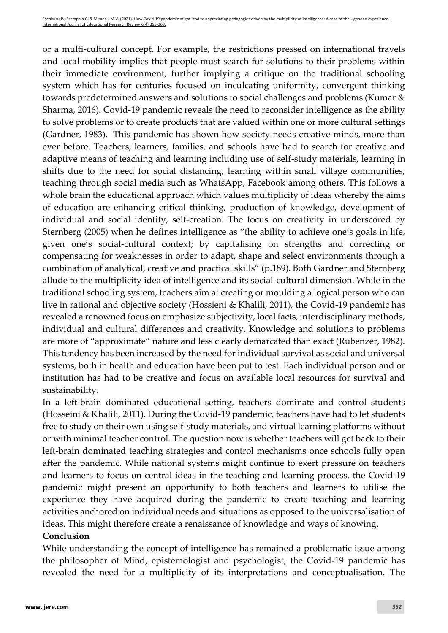or a multi-cultural concept. For example, the restrictions pressed on international travels and local mobility implies that people must search for solutions to their problems within their immediate environment, further implying a critique on the traditional schooling system which has for centuries focused on inculcating uniformity, convergent thinking towards predetermined answers and solutions to social challenges and problems (Kumar & Sharma, 2016). Covid-19 pandemic reveals the need to reconsider intelligence as the ability to solve problems or to create products that are valued within one or more cultural settings (Gardner, 1983). This pandemic has shown how society needs creative minds, more than ever before. Teachers, learners, families, and schools have had to search for creative and adaptive means of teaching and learning including use of self-study materials, learning in shifts due to the need for social distancing, learning within small village communities, teaching through social media such as WhatsApp, Facebook among others. This follows a whole brain the educational approach which values multiplicity of ideas whereby the aims of education are enhancing critical thinking, production of knowledge, development of individual and social identity, self-creation. The focus on creativity in underscored by Sternberg (2005) when he defines intelligence as "the ability to achieve one's goals in life, given one's social-cultural context; by capitalising on strengths and correcting or compensating for weaknesses in order to adapt, shape and select environments through a combination of analytical, creative and practical skills" (p.189). Both Gardner and Sternberg allude to the multiplicity idea of intelligence and its social-cultural dimension. While in the traditional schooling system, teachers aim at creating or moulding a logical person who can live in rational and objective society (Hossieni & Khalili, 2011), the Covid-19 pandemic has revealed a renowned focus on emphasize subjectivity, local facts, interdisciplinary methods, individual and cultural differences and creativity. Knowledge and solutions to problems are more of "approximate" nature and less clearly demarcated than exact (Rubenzer, 1982). This tendency has been increased by the need for individual survival as social and universal systems, both in health and education have been put to test. Each individual person and or institution has had to be creative and focus on available local resources for survival and sustainability.

In a left-brain dominated educational setting, teachers dominate and control students (Hosseini & Khalili, 2011). During the Covid-19 pandemic, teachers have had to let students free to study on their own using self-study materials, and virtual learning platforms without or with minimal teacher control. The question now is whether teachers will get back to their left-brain dominated teaching strategies and control mechanisms once schools fully open after the pandemic. While national systems might continue to exert pressure on teachers and learners to focus on central ideas in the teaching and learning process, the Covid-19 pandemic might present an opportunity to both teachers and learners to utilise the experience they have acquired during the pandemic to create teaching and learning activities anchored on individual needs and situations as opposed to the universalisation of ideas. This might therefore create a renaissance of knowledge and ways of knowing.

#### **Conclusion**

While understanding the concept of intelligence has remained a problematic issue among the philosopher of Mind, epistemologist and psychologist, the Covid-19 pandemic has revealed the need for a multiplicity of its interpretations and conceptualisation. The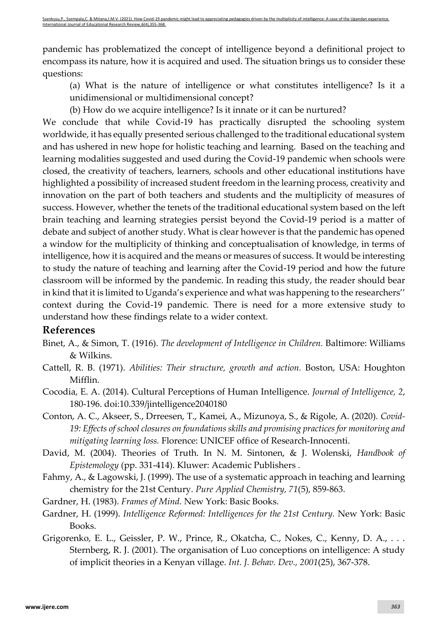pandemic has problematized the concept of intelligence beyond a definitional project to encompass its nature, how it is acquired and used. The situation brings us to consider these questions:

(a) What is the nature of intelligence or what constitutes intelligence? Is it a unidimensional or multidimensional concept?

(b) How do we acquire intelligence? Is it innate or it can be nurtured?

We conclude that while Covid-19 has practically disrupted the schooling system worldwide, it has equally presented serious challenged to the traditional educational system and has ushered in new hope for holistic teaching and learning. Based on the teaching and learning modalities suggested and used during the Covid-19 pandemic when schools were closed, the creativity of teachers, learners, schools and other educational institutions have highlighted a possibility of increased student freedom in the learning process, creativity and innovation on the part of both teachers and students and the multiplicity of measures of success. However, whether the tenets of the traditional educational system based on the left brain teaching and learning strategies persist beyond the Covid-19 period is a matter of debate and subject of another study. What is clear however is that the pandemic has opened a window for the multiplicity of thinking and conceptualisation of knowledge, in terms of intelligence, how it is acquired and the means or measures of success. It would be interesting to study the nature of teaching and learning after the Covid-19 period and how the future classroom will be informed by the pandemic. In reading this study, the reader should bear in kind that it is limited to Uganda's experience and what was happening to the researchers'' context during the Covid-19 pandemic. There is need for a more extensive study to understand how these findings relate to a wider context.

# **References**

- Binet, A., & Simon, T. (1916). *The development of Intelligence in Children.* Baltimore: Williams & Wilkins.
- Cattell, R. B. (1971). *Abilities: Their structure, growth and action.* Boston, USA: Houghton Mifflin.
- Cocodia, E. A. (2014). Cultural Perceptions of Human Intelligence. *Journal of Intelligence, 2*, 180-196. doi:10.339/jintelligence2040180
- Conton, A. C., Akseer, S., Drreesen, T., Kamei, A., Mizunoya, S., & Rigole, A. (2020). *Covid-19: Effects of school closures on foundations skills and promising practices for monitoring and mitigating learning loss.* Florence: UNICEF office of Research-Innocenti.
- David, M. (2004). Theories of Truth. In N. M. Sintonen, & J. Wolenski, *Handbook of Epistemology* (pp. 331-414). Kluwer: Academic Publishers .
- Fahmy, A., & Lagowski, J. (1999). The use of a systematic approach in teaching and learning chemistry for the 21st Century. *Pure Applied Chemistry, 71*(5), 859-863.
- Gardner, H. (1983). *Frames of Mind.* New York: Basic Books.
- Gardner, H. (1999). *Intelligence Reformed: Intelligences for the 21st Century.* New York: Basic Books.
- Grigorenko, E. L., Geissler, P. W., Prince, R., Okatcha, C., Nokes, C., Kenny, D. A., . . . Sternberg, R. J. (2001). The organisation of Luo conceptions on intelligence: A study of implicit theories in a Kenyan village. *Int. J. Behav. Dev., 2001*(25), 367-378.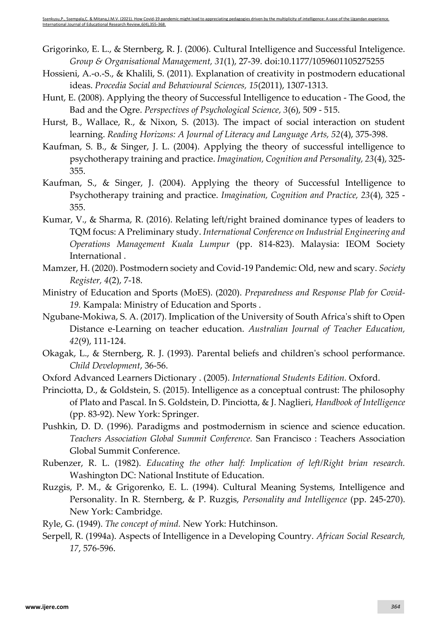Grigorinko, E. L., & Sternberg, R. J. (2006). Cultural Intelligence and Successful Inteligence. *Group & Organisational Management, 31*(1), 27-39. doi:10.1177/1059601105275255

- Hossieni, A.-o.-S., & Khalili, S. (2011). Explanation of creativity in postmodern educational ideas. *Procedia Social and Behavioural Sciences, 15*(2011), 1307-1313.
- Hunt, E. (2008). Applying the theory of Successful Intelligence to education The Good, the Bad and the Ogre. *Perspectives of Psychological Science, 3*(6), 509 - 515.
- Hurst, B., Wallace, R., & Nixon, S. (2013). The impact of social interaction on student learning. *Reading Horizons: A Journal of Literacy and Language Arts, 52*(4), 375-398.
- Kaufman, S. B., & Singer, J. L. (2004). Applying the theory of successful intelligence to psychotherapy training and practice. *Imagination, Cognition and Personality, 23*(4), 325- 355.
- Kaufman, S., & Singer, J. (2004). Applying the theory of Successful Intelligence to Psychotherapy training and practice. *Imagination, Cognition and Practice, 23*(4), 325 - 355.
- Kumar, V., & Sharma, R. (2016). Relating left/right brained dominance types of leaders to TQM focus: A Preliminary study. *International Conference on Industrial Engineering and Operations Management Kuala Lumpur* (pp. 814-823). Malaysia: IEOM Society International .
- Mamzer, H. (2020). Postmodern society and Covid-19 Pandemic: Old, new and scary. *Society Register, 4*(2), 7-18.
- Ministry of Education and Sports (MoES). (2020). *Preparedness and Response Plab for Covid-19.* Kampala: Ministry of Education and Sports .
- Ngubane-Mokiwa, S. A. (2017). Implication of the University of South Africa's shift to Open Distance e-Learning on teacher education. *Australian Journal of Teacher Education, 42*(9), 111-124.
- Okagak, L., & Sternberg, R. J. (1993). Parental beliefs and children's school performance. *Child Development*, 36-56.
- Oxford Advanced Learners Dictionary . (2005). *International Students Edition.* Oxford.
- Princiotta, D., & Goldstein, S. (2015). Intelligence as a conceptual contrust: The philosophy of Plato and Pascal. In S. Goldstein, D. Pinciotta, & J. Naglieri, *Handbook of Intelligence* (pp. 83-92). New York: Springer.
- Pushkin, D. D. (1996). Paradigms and postmodernism in science and science education. *Teachers Association Global Summit Conference.* San Francisco : Teachers Association Global Summit Conference.
- Rubenzer, R. L. (1982). *Educating the other half: Implication of left/Right brian research.* Washington DC: National Institute of Education.
- Ruzgis, P. M., & Grigorenko, E. L. (1994). Cultural Meaning Systems, Intelligence and Personality. In R. Sternberg, & P. Ruzgis, *Personality and Intelligence* (pp. 245-270). New York: Cambridge.
- Ryle, G. (1949). *The concept of mind.* New York: Hutchinson.
- Serpell, R. (1994a). Aspects of Intelligence in a Developing Country. *African Social Research, 17*, 576-596.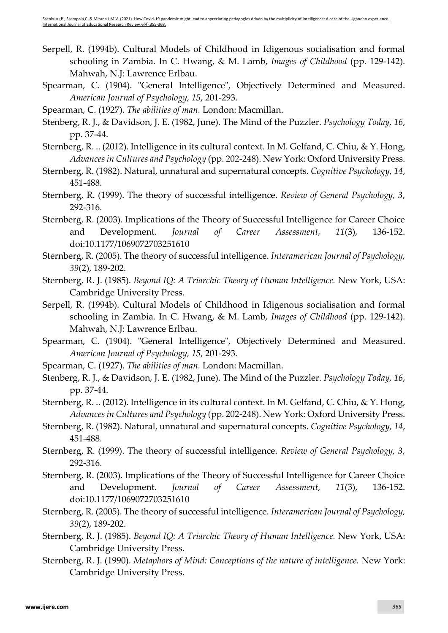- Serpell, R. (1994b). Cultural Models of Childhood in Idigenous socialisation and formal schooling in Zambia. In C. Hwang, & M. Lamb, *Images of Childhood* (pp. 129-142). Mahwah, N.J: Lawrence Erlbau.
- Spearman, C. (1904). "General Intelligence", Objectively Determined and Measured. *American Journal of Psychology, 15*, 201-293.
- Spearman, C. (1927). *The abilities of man.* London: Macmillan.
- Stenberg, R. J., & Davidson, J. E. (1982, June). The Mind of the Puzzler. *Psychology Today, 16*, pp. 37-44.
- Sternberg, R. .. (2012). Intelligence in its cultural context. In M. Gelfand, C. Chiu, & Y. Hong, *Advances in Cultures and Psychology* (pp. 202-248). New York: Oxford University Press.
- Sternberg, R. (1982). Natural, unnatural and supernatural concepts. *Cognitive Psychology, 14*, 451-488.
- Sternberg, R. (1999). The theory of successful intelligence. *Review of General Psychology, 3*, 292-316.
- Sternberg, R. (2003). Implications of the Theory of Successful Intelligence for Career Choice and Development. *Journal of Career Assessment, 11*(3), 136-152. doi:10.1177/1069072703251610
- Sternberg, R. (2005). The theory of successful intelligence. *Interamerican Journal of Psychology, 39*(2), 189-202.
- Sternberg, R. J. (1985). *Beyond IQ: A Triarchic Theory of Human Intelligence.* New York, USA: Cambridge University Press.
- Serpell, R. (1994b). Cultural Models of Childhood in Idigenous socialisation and formal schooling in Zambia. In C. Hwang, & M. Lamb, *Images of Childhood* (pp. 129-142). Mahwah, N.J: Lawrence Erlbau.
- Spearman, C. (1904). "General Intelligence", Objectively Determined and Measured. *American Journal of Psychology, 15*, 201-293.
- Spearman, C. (1927). *The abilities of man.* London: Macmillan.
- Stenberg, R. J., & Davidson, J. E. (1982, June). The Mind of the Puzzler. *Psychology Today, 16*, pp. 37-44.
- Sternberg, R. .. (2012). Intelligence in its cultural context. In M. Gelfand, C. Chiu, & Y. Hong, *Advances in Cultures and Psychology* (pp. 202-248). New York: Oxford University Press.
- Sternberg, R. (1982). Natural, unnatural and supernatural concepts. *Cognitive Psychology, 14*, 451-488.
- Sternberg, R. (1999). The theory of successful intelligence. *Review of General Psychology, 3*, 292-316.
- Sternberg, R. (2003). Implications of the Theory of Successful Intelligence for Career Choice and Development. *Journal of Career Assessment, 11*(3), 136-152. doi:10.1177/1069072703251610
- Sternberg, R. (2005). The theory of successful intelligence. *Interamerican Journal of Psychology, 39*(2), 189-202.
- Sternberg, R. J. (1985). *Beyond IQ: A Triarchic Theory of Human Intelligence.* New York, USA: Cambridge University Press.
- Sternberg, R. J. (1990). *Metaphors of Mind: Conceptions of the nature of intelligence.* New York: Cambridge University Press.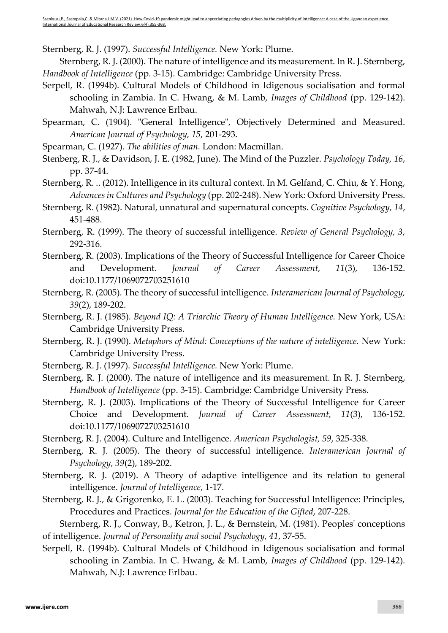Sternberg, R. J. (1997). *Successful Intelligence.* New York: Plume.

Sternberg, R. J. (2000). The nature of intelligence and its measurement. In R. J. Sternberg, *Handbook of Intelligence* (pp. 3-15). Cambridge: Cambridge University Press.

- Serpell, R. (1994b). Cultural Models of Childhood in Idigenous socialisation and formal schooling in Zambia. In C. Hwang, & M. Lamb, *Images of Childhood* (pp. 129-142). Mahwah, N.J: Lawrence Erlbau.
- Spearman, C. (1904). "General Intelligence", Objectively Determined and Measured. *American Journal of Psychology, 15*, 201-293.
- Spearman, C. (1927). *The abilities of man.* London: Macmillan.
- Stenberg, R. J., & Davidson, J. E. (1982, June). The Mind of the Puzzler. *Psychology Today, 16*, pp. 37-44.
- Sternberg, R. .. (2012). Intelligence in its cultural context. In M. Gelfand, C. Chiu, & Y. Hong, *Advances in Cultures and Psychology* (pp. 202-248). New York: Oxford University Press.
- Sternberg, R. (1982). Natural, unnatural and supernatural concepts. *Cognitive Psychology, 14*, 451-488.
- Sternberg, R. (1999). The theory of successful intelligence. *Review of General Psychology, 3*, 292-316.
- Sternberg, R. (2003). Implications of the Theory of Successful Intelligence for Career Choice and Development. *Journal of Career Assessment, 11*(3), 136-152. doi:10.1177/1069072703251610
- Sternberg, R. (2005). The theory of successful intelligence. *Interamerican Journal of Psychology, 39*(2), 189-202.
- Sternberg, R. J. (1985). *Beyond IQ: A Triarchic Theory of Human Intelligence.* New York, USA: Cambridge University Press.
- Sternberg, R. J. (1990). *Metaphors of Mind: Conceptions of the nature of intelligence.* New York: Cambridge University Press.
- Sternberg, R. J. (1997). *Successful Intelligence.* New York: Plume.
- Sternberg, R. J. (2000). The nature of intelligence and its measurement. In R. J. Sternberg, *Handbook of Intelligence* (pp. 3-15). Cambridge: Cambridge University Press.
- Sternberg, R. J. (2003). Implications of the Theory of Successful Intelligence for Career Choice and Development. *Journal of Career Assessment, 11*(3), 136-152. doi:10.1177/1069072703251610
- Sternberg, R. J. (2004). Culture and Intelligence. *American Psychologist, 59*, 325-338.
- Sternberg, R. J. (2005). The theory of successful intelligence. *Interamerican Journal of Psychology, 39*(2), 189-202.
- Sternberg, R. J. (2019). A Theory of adaptive intelligence and its relation to general intelligence. *Journal of Intelligence*, 1-17.
- Sternberg, R. J., & Grigorenko, E. L. (2003). Teaching for Successful Intelligence: Principles, Procedures and Practices. *Journal for the Education of the Gifted*, 207-228.

Sternberg, R. J., Conway, B., Ketron, J. L., & Bernstein, M. (1981). Peoples' conceptions of intelligence. *Journal of Personality and social Psychology, 41*, 37-55.

Serpell, R. (1994b). Cultural Models of Childhood in Idigenous socialisation and formal schooling in Zambia. In C. Hwang, & M. Lamb, *Images of Childhood* (pp. 129-142). Mahwah, N.J: Lawrence Erlbau.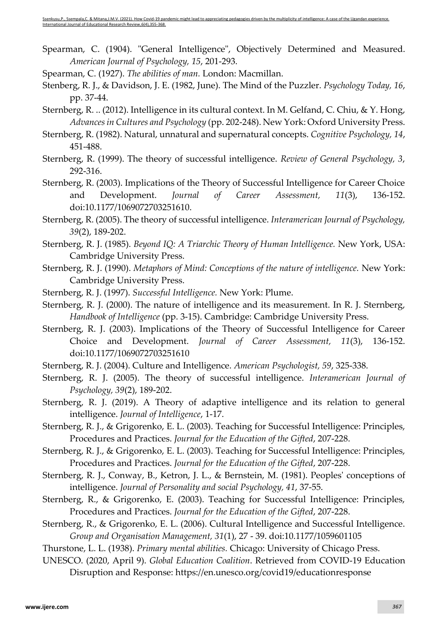- Spearman, C. (1904). "General Intelligence", Objectively Determined and Measured. *American Journal of Psychology, 15*, 201-293.
- Spearman, C. (1927). *The abilities of man.* London: Macmillan.
- Stenberg, R. J., & Davidson, J. E. (1982, June). The Mind of the Puzzler. *Psychology Today, 16*, pp. 37-44.
- Sternberg, R. .. (2012). Intelligence in its cultural context. In M. Gelfand, C. Chiu, & Y. Hong, *Advances in Cultures and Psychology* (pp. 202-248). New York: Oxford University Press.
- Sternberg, R. (1982). Natural, unnatural and supernatural concepts. *Cognitive Psychology, 14*, 451-488.
- Sternberg, R. (1999). The theory of successful intelligence. *Review of General Psychology, 3*, 292-316.
- Sternberg, R. (2003). Implications of the Theory of Successful Intelligence for Career Choice and Development. *Journal of Career Assessment, 11*(3), 136-152. doi:10.1177/1069072703251610.
- Sternberg, R. (2005). The theory of successful intelligence. *Interamerican Journal of Psychology, 39*(2), 189-202.
- Sternberg, R. J. (1985). *Beyond IQ: A Triarchic Theory of Human Intelligence.* New York, USA: Cambridge University Press.
- Sternberg, R. J. (1990). *Metaphors of Mind: Conceptions of the nature of intelligence.* New York: Cambridge University Press.
- Sternberg, R. J. (1997). *Successful Intelligence.* New York: Plume.
- Sternberg, R. J. (2000). The nature of intelligence and its measurement. In R. J. Sternberg, *Handbook of Intelligence* (pp. 3-15). Cambridge: Cambridge University Press.
- Sternberg, R. J. (2003). Implications of the Theory of Successful Intelligence for Career Choice and Development. *Journal of Career Assessment, 11*(3), 136-152. doi:10.1177/1069072703251610
- Sternberg, R. J. (2004). Culture and Intelligence. *American Psychologist, 59*, 325-338.
- Sternberg, R. J. (2005). The theory of successful intelligence. *Interamerican Journal of Psychology, 39*(2), 189-202.
- Sternberg, R. J. (2019). A Theory of adaptive intelligence and its relation to general intelligence. *Journal of Intelligence*, 1-17.
- Sternberg, R. J., & Grigorenko, E. L. (2003). Teaching for Successful Intelligence: Principles, Procedures and Practices. *Journal for the Education of the Gifted*, 207-228.
- Sternberg, R. J., & Grigorenko, E. L. (2003). Teaching for Successful Intelligence: Principles, Procedures and Practices. *Journal for the Education of the Gifted*, 207-228.
- Sternberg, R. J., Conway, B., Ketron, J. L., & Bernstein, M. (1981). Peoples' conceptions of intelligence. *Journal of Personality and social Psychology, 41*, 37-55.
- Sternberg, R., & Grigorenko, E. (2003). Teaching for Successful Intelligence: Principles, Procedures and Practices. *Journal for the Education of the Gifted*, 207-228.
- Sternberg, R., & Grigorenko, E. L. (2006). Cultural Intelligence and Successful Intelligence. *Group and Organisation Management, 31*(1), 27 - 39. doi:10.1177/1059601105
- Thurstone, L. L. (1938). *Primary mental abilities.* Chicago: University of Chicago Press.
- UNESCO. (2020, April 9). *Global Education Coalition*. Retrieved from COVID-19 Education Disruption and Response: https://en.unesco.org/covid19/educationresponse